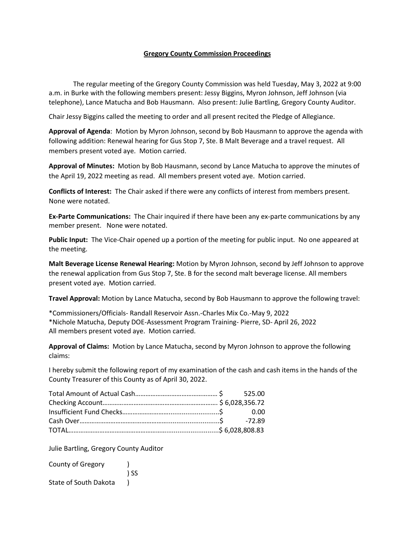## **Gregory County Commission Proceedings**

The regular meeting of the Gregory County Commission was held Tuesday, May 3, 2022 at 9:00 a.m. in Burke with the following members present: Jessy Biggins, Myron Johnson, Jeff Johnson (via telephone), Lance Matucha and Bob Hausmann. Also present: Julie Bartling, Gregory County Auditor.

Chair Jessy Biggins called the meeting to order and all present recited the Pledge of Allegiance.

**Approval of Agenda**: Motion by Myron Johnson, second by Bob Hausmann to approve the agenda with following addition: Renewal hearing for Gus Stop 7, Ste. B Malt Beverage and a travel request. All members present voted aye. Motion carried.

**Approval of Minutes:** Motion by Bob Hausmann, second by Lance Matucha to approve the minutes of the April 19, 2022 meeting as read. All members present voted aye. Motion carried.

**Conflicts of Interest:** The Chair asked if there were any conflicts of interest from members present. None were notated.

**Ex-Parte Communications:** The Chair inquired if there have been any ex-parte communications by any member present. None were notated.

**Public Input:** The Vice-Chair opened up a portion of the meeting for public input. No one appeared at the meeting.

**Malt Beverage License Renewal Hearing:** Motion by Myron Johnson, second by Jeff Johnson to approve the renewal application from Gus Stop 7, Ste. B for the second malt beverage license. All members present voted aye. Motion carried.

**Travel Approval:** Motion by Lance Matucha, second by Bob Hausmann to approve the following travel:

\*Commissioners/Officials- Randall Reservoir Assn.-Charles Mix Co.-May 9, 2022 \*Nichole Matucha, Deputy DOE-Assessment Program Training- Pierre, SD- April 26, 2022 All members present voted aye. Motion carried.

**Approval of Claims:** Motion by Lance Matucha, second by Myron Johnson to approve the following claims:

I hereby submit the following report of my examination of the cash and cash items in the hands of the County Treasurer of this County as of April 30, 2022.

Julie Bartling, Gregory County Auditor

| County of Gregory            |      |
|------------------------------|------|
|                              | ) SS |
| <b>State of South Dakota</b> |      |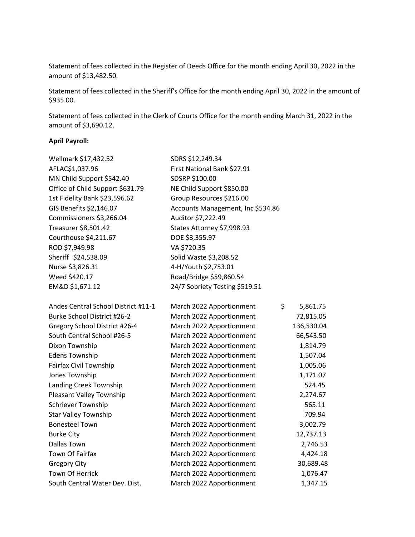Statement of fees collected in the Register of Deeds Office for the month ending April 30, 2022 in the amount of \$13,482.50.

Statement of fees collected in the Sheriff's Office for the month ending April 30, 2022 in the amount of \$935.00.

Statement of fees collected in the Clerk of Courts Office for the month ending March 31, 2022 in the amount of \$3,690.12.

## **April Payroll:**

| Wellmark \$17,432.52                | SDRS \$12,249.34                  |            |
|-------------------------------------|-----------------------------------|------------|
| AFLAC\$1,037.96                     | First National Bank \$27.91       |            |
| MN Child Support \$542.40           | SDSRP \$100.00                    |            |
| Office of Child Support \$631.79    | NE Child Support \$850.00         |            |
| 1st Fidelity Bank \$23,596.62       | Group Resources \$216.00          |            |
| GIS Benefits \$2,146.07             | Accounts Management, Inc \$534.86 |            |
| Commissioners \$3,266.04            | Auditor \$7,222.49                |            |
| Treasurer \$8,501.42                | States Attorney \$7,998.93        |            |
| Courthouse \$4,211.67               | DOE \$3,355.97                    |            |
| ROD \$7,949.98                      | VA \$720.35                       |            |
| Sheriff \$24,538.09                 | Solid Waste \$3,208.52            |            |
| Nurse \$3,826.31                    | 4-H/Youth \$2,753.01              |            |
| Weed \$420.17                       | Road/Bridge \$59,860.54           |            |
| EM&D \$1,671.12                     | 24/7 Sobriety Testing \$519.51    |            |
| Andes Central School District #11-1 | \$<br>March 2022 Apportionment    | 5,861.75   |
| Burke School District #26-2         | March 2022 Apportionment          | 72,815.05  |
| Gregory School District #26-4       | March 2022 Apportionment          | 136,530.04 |
| South Central School #26-5          | March 2022 Apportionment          | 66,543.50  |
| Dixon Township                      | March 2022 Apportionment          | 1,814.79   |
| <b>Edens Township</b>               | March 2022 Apportionment          | 1,507.04   |
| Fairfax Civil Township              | March 2022 Apportionment          | 1,005.06   |
| Jones Township                      | March 2022 Apportionment          | 1,171.07   |
| Landing Creek Township              | March 2022 Apportionment          | 524.45     |
| Pleasant Valley Township            | March 2022 Apportionment          | 2,274.67   |
| Schriever Township                  | March 2022 Apportionment          | 565.11     |
| <b>Star Valley Township</b>         | March 2022 Apportionment          | 709.94     |
| <b>Bonesteel Town</b>               | March 2022 Apportionment          | 3,002.79   |
| <b>Burke City</b>                   | March 2022 Apportionment          | 12,737.13  |
| <b>Dallas Town</b>                  | March 2022 Apportionment          | 2,746.53   |
| <b>Town Of Fairfax</b>              | March 2022 Apportionment          | 4,424.18   |
| <b>Gregory City</b>                 | March 2022 Apportionment          | 30,689.48  |
| <b>Town Of Herrick</b>              | March 2022 Apportionment          | 1,076.47   |
| South Central Water Dev. Dist.      | March 2022 Apportionment          | 1,347.15   |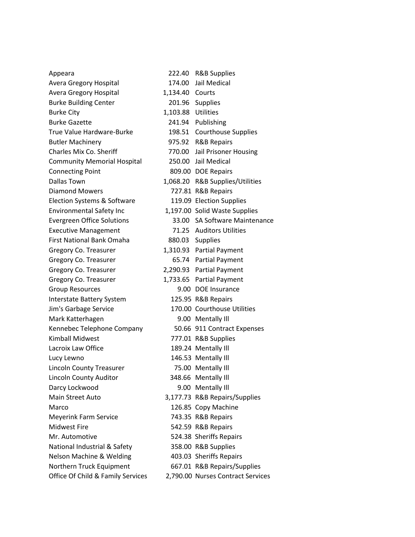| Appeara                            |                    | 222.40 R&B Supplies               |
|------------------------------------|--------------------|-----------------------------------|
| Avera Gregory Hospital             |                    | 174.00 Jail Medical               |
| Avera Gregory Hospital             | 1,134.40 Courts    |                                   |
| <b>Burke Building Center</b>       |                    | 201.96 Supplies                   |
| <b>Burke City</b>                  | 1,103.88 Utilities |                                   |
| <b>Burke Gazette</b>               |                    | 241.94 Publishing                 |
| True Value Hardware-Burke          |                    | 198.51 Courthouse Supplies        |
| <b>Butler Machinery</b>            |                    | 975.92 R&B Repairs                |
| Charles Mix Co. Sheriff            | 770.00             | Jail Prisoner Housing             |
| <b>Community Memorial Hospital</b> |                    | 250.00 Jail Medical               |
| <b>Connecting Point</b>            |                    | 809.00 DOE Repairs                |
| <b>Dallas Town</b>                 |                    | 1,068.20 R&B Supplies/Utilities   |
| <b>Diamond Mowers</b>              |                    | 727.81 R&B Repairs                |
| Election Systems & Software        |                    | 119.09 Election Supplies          |
| <b>Environmental Safety Inc</b>    |                    | 1,197.00 Solid Waste Supplies     |
| <b>Evergreen Office Solutions</b>  |                    | 33.00 SA Software Maintenance     |
| <b>Executive Management</b>        |                    | 71.25 Auditors Utilities          |
| <b>First National Bank Omaha</b>   |                    | 880.03 Supplies                   |
| Gregory Co. Treasurer              |                    | 1,310.93 Partial Payment          |
| Gregory Co. Treasurer              |                    | 65.74 Partial Payment             |
| Gregory Co. Treasurer              |                    | 2,290.93 Partial Payment          |
| Gregory Co. Treasurer              |                    | 1,733.65 Partial Payment          |
| <b>Group Resources</b>             |                    | 9.00 DOE Insurance                |
| Interstate Battery System          |                    | 125.95 R&B Repairs                |
| Jim's Garbage Service              |                    | 170.00 Courthouse Utilities       |
| Mark Katterhagen                   |                    | 9.00 Mentally III                 |
| Kennebec Telephone Company         |                    | 50.66 911 Contract Expenses       |
| <b>Kimball Midwest</b>             |                    | 777.01 R&B Supplies               |
| Lacroix Law Office                 |                    | 189.24 Mentally Ill               |
| Lucy Lewno                         |                    | 146.53 Mentally Ill               |
| <b>Lincoln County Treasurer</b>    |                    | 75.00 Mentally Ill                |
| Lincoln County Auditor             |                    | 348.66 Mentally Ill               |
| Darcy Lockwood                     |                    | 9.00 Mentally III                 |
| Main Street Auto                   |                    | 3,177.73 R&B Repairs/Supplies     |
| Marco                              |                    | 126.85 Copy Machine               |
| <b>Meyerink Farm Service</b>       |                    | 743.35 R&B Repairs                |
| <b>Midwest Fire</b>                |                    | 542.59 R&B Repairs                |
| Mr. Automotive                     |                    | 524.38 Sheriffs Repairs           |
| National Industrial & Safety       |                    | 358.00 R&B Supplies               |
| Nelson Machine & Welding           |                    | 403.03 Sheriffs Repairs           |
| Northern Truck Equipment           |                    | 667.01 R&B Repairs/Supplies       |
| Office Of Child & Family Services  |                    | 2,790.00 Nurses Contract Services |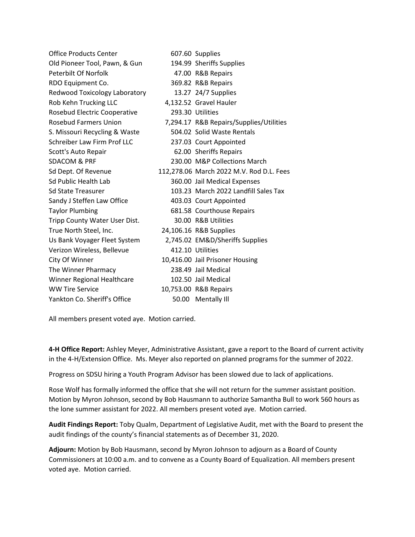| <b>Office Products Center</b> | 607.60 Supplies                          |
|-------------------------------|------------------------------------------|
| Old Pioneer Tool, Pawn, & Gun | 194.99 Sheriffs Supplies                 |
| Peterbilt Of Norfolk          | 47.00 R&B Repairs                        |
| RDO Equipment Co.             | 369.82 R&B Repairs                       |
| Redwood Toxicology Laboratory | 13.27 24/7 Supplies                      |
| Rob Kehn Trucking LLC         | 4,132.52 Gravel Hauler                   |
| Rosebud Electric Cooperative  | 293.30 Utilities                         |
| <b>Rosebud Farmers Union</b>  | 7,294.17 R&B Repairs/Supplies/Utilities  |
| S. Missouri Recycling & Waste | 504.02 Solid Waste Rentals               |
| Schreiber Law Firm Prof LLC   | 237.03 Court Appointed                   |
| Scott's Auto Repair           | 62.00 Sheriffs Repairs                   |
| <b>SDACOM &amp; PRF</b>       | 230.00 M&P Collections March             |
| Sd Dept. Of Revenue           | 112,278.06 March 2022 M.V. Rod D.L. Fees |
| Sd Public Health Lab          | 360.00 Jail Medical Expenses             |
| <b>Sd State Treasurer</b>     | 103.23 March 2022 Landfill Sales Tax     |
| Sandy J Steffen Law Office    | 403.03 Court Appointed                   |
| <b>Taylor Plumbing</b>        | 681.58 Courthouse Repairs                |
| Tripp County Water User Dist. | 30.00 R&B Utilities                      |
| True North Steel, Inc.        | 24,106.16 R&B Supplies                   |
| Us Bank Voyager Fleet System  | 2,745.02 EM&D/Sheriffs Supplies          |
| Verizon Wireless, Bellevue    | 412.10 Utilities                         |
| City Of Winner                | 10,416.00 Jail Prisoner Housing          |
| The Winner Pharmacy           | 238.49 Jail Medical                      |
| Winner Regional Healthcare    | 102.50 Jail Medical                      |
| <b>WW Tire Service</b>        | 10,753.00 R&B Repairs                    |
| Yankton Co. Sheriff's Office  | 50.00 Mentally Ill                       |

All members present voted aye. Motion carried.

**4-H Office Report:** Ashley Meyer, Administrative Assistant, gave a report to the Board of current activity in the 4-H/Extension Office. Ms. Meyer also reported on planned programs for the summer of 2022.

Progress on SDSU hiring a Youth Program Advisor has been slowed due to lack of applications.

Rose Wolf has formally informed the office that she will not return for the summer assistant position. Motion by Myron Johnson, second by Bob Hausmann to authorize Samantha Bull to work 560 hours as the lone summer assistant for 2022. All members present voted aye. Motion carried.

**Audit Findings Report:** Toby Qualm, Department of Legislative Audit, met with the Board to present the audit findings of the county's financial statements as of December 31, 2020.

**Adjourn:** Motion by Bob Hausmann, second by Myron Johnson to adjourn as a Board of County Commissioners at 10:00 a.m. and to convene as a County Board of Equalization. All members present voted aye. Motion carried.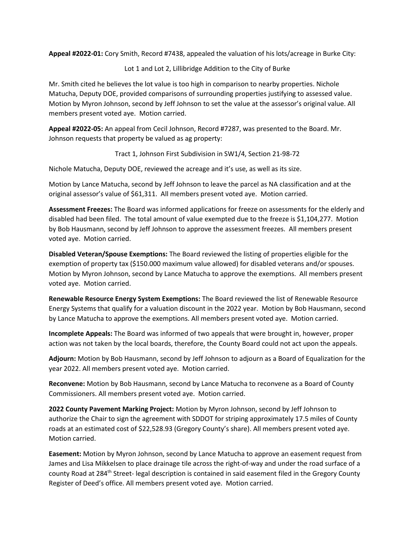**Appeal #2022-01:** Cory Smith, Record #7438, appealed the valuation of his lots/acreage in Burke City:

Lot 1 and Lot 2, Lillibridge Addition to the City of Burke

Mr. Smith cited he believes the lot value is too high in comparison to nearby properties. Nichole Matucha, Deputy DOE, provided comparisons of surrounding properties justifying to assessed value. Motion by Myron Johnson, second by Jeff Johnson to set the value at the assessor's original value. All members present voted aye. Motion carried.

**Appeal #2022-05:** An appeal from Cecil Johnson, Record #7287, was presented to the Board. Mr. Johnson requests that property be valued as ag property:

Tract 1, Johnson First Subdivision in SW1/4, Section 21-98-72

Nichole Matucha, Deputy DOE, reviewed the acreage and it's use, as well as its size.

Motion by Lance Matucha, second by Jeff Johnson to leave the parcel as NA classification and at the original assessor's value of \$61,311. All members present voted aye. Motion carried.

**Assessment Freezes:** The Board was informed applications for freeze on assessments for the elderly and disabled had been filed. The total amount of value exempted due to the freeze is \$1,104,277. Motion by Bob Hausmann, second by Jeff Johnson to approve the assessment freezes. All members present voted aye. Motion carried.

**Disabled Veteran/Spouse Exemptions:** The Board reviewed the listing of properties eligible for the exemption of property tax (\$150.000 maximum value allowed) for disabled veterans and/or spouses. Motion by Myron Johnson, second by Lance Matucha to approve the exemptions. All members present voted aye. Motion carried.

**Renewable Resource Energy System Exemptions:** The Board reviewed the list of Renewable Resource Energy Systems that qualify for a valuation discount in the 2022 year. Motion by Bob Hausmann, second by Lance Matucha to approve the exemptions. All members present voted aye. Motion carried.

**Incomplete Appeals:** The Board was informed of two appeals that were brought in, however, proper action was not taken by the local boards, therefore, the County Board could not act upon the appeals.

**Adjourn:** Motion by Bob Hausmann, second by Jeff Johnson to adjourn as a Board of Equalization for the year 2022. All members present voted aye. Motion carried.

**Reconvene:** Motion by Bob Hausmann, second by Lance Matucha to reconvene as a Board of County Commissioners. All members present voted aye. Motion carried.

**2022 County Pavement Marking Project:** Motion by Myron Johnson, second by Jeff Johnson to authorize the Chair to sign the agreement with SDDOT for striping approximately 17.5 miles of County roads at an estimated cost of \$22,528.93 (Gregory County's share). All members present voted aye. Motion carried.

**Easement:** Motion by Myron Johnson, second by Lance Matucha to approve an easement request from James and Lisa Mikkelsen to place drainage tile across the right-of-way and under the road surface of a county Road at 284<sup>th</sup> Street- legal description is contained in said easement filed in the Gregory County Register of Deed's office. All members present voted aye. Motion carried.